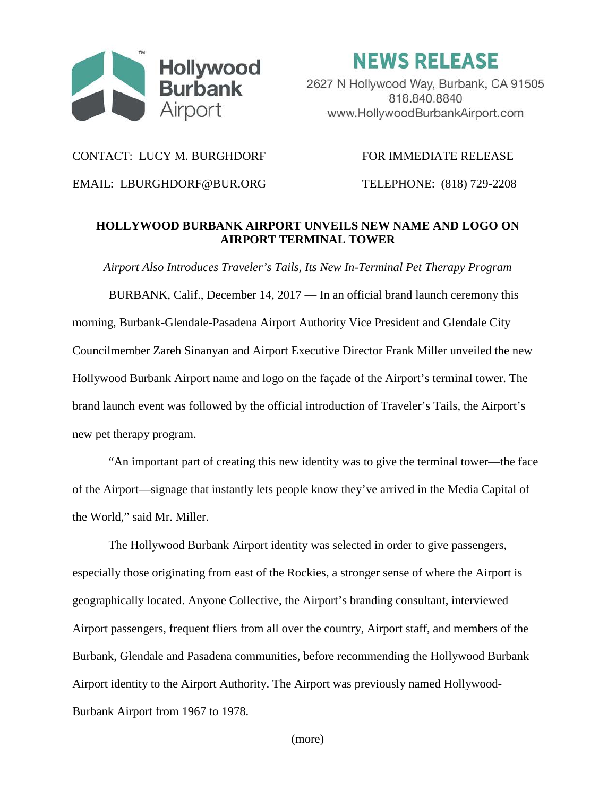

**NEWS RELEASE** 

2627 N Hollywood Way, Burbank, CA 91505 818.840.8840 www.HollywoodBurbankAirport.com

CONTACT: LUCY M. BURGHDORF FOR IMMEDIATE RELEASE

EMAIL: LBURGHDORF@BUR.ORG TELEPHONE: (818) 729-2208

## **HOLLYWOOD BURBANK AIRPORT UNVEILS NEW NAME AND LOGO ON AIRPORT TERMINAL TOWER**

*Airport Also Introduces Traveler's Tails, Its New In-Terminal Pet Therapy Program*

BURBANK, Calif., December 14, 2017 — In an official brand launch ceremony this morning, Burbank-Glendale-Pasadena Airport Authority Vice President and Glendale City Councilmember Zareh Sinanyan and Airport Executive Director Frank Miller unveiled the new Hollywood Burbank Airport name and logo on the façade of the Airport's terminal tower. The brand launch event was followed by the official introduction of Traveler's Tails, the Airport's new pet therapy program.

"An important part of creating this new identity was to give the terminal tower—the face of the Airport—signage that instantly lets people know they've arrived in the Media Capital of the World," said Mr. Miller.

The Hollywood Burbank Airport identity was selected in order to give passengers, especially those originating from east of the Rockies, a stronger sense of where the Airport is geographically located. Anyone Collective, the Airport's branding consultant, interviewed Airport passengers, frequent fliers from all over the country, Airport staff, and members of the Burbank, Glendale and Pasadena communities, before recommending the Hollywood Burbank Airport identity to the Airport Authority. The Airport was previously named Hollywood-Burbank Airport from 1967 to 1978.

(more)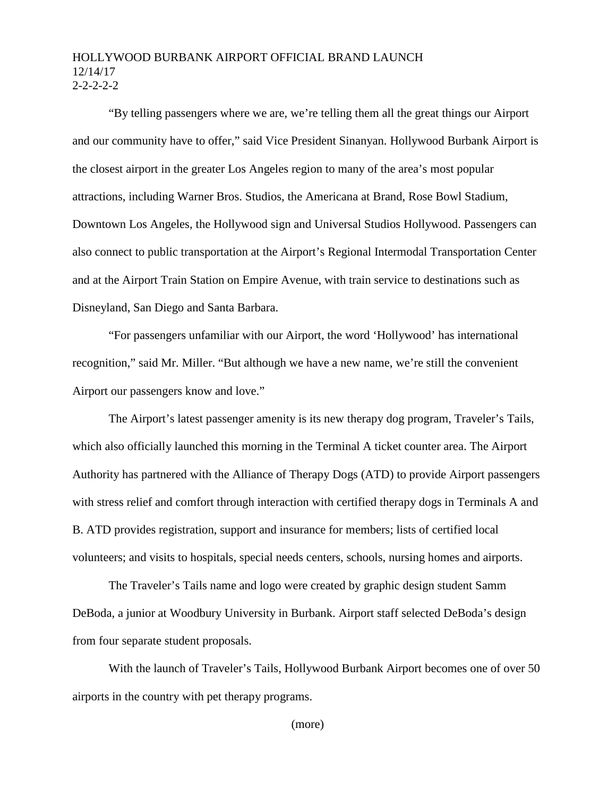## HOLLYWOOD BURBANK AIRPORT OFFICIAL BRAND LAUNCH 12/14/17  $2 - 2 - 2 - 2$

"By telling passengers where we are, we're telling them all the great things our Airport and our community have to offer," said Vice President Sinanyan. Hollywood Burbank Airport is the closest airport in the greater Los Angeles region to many of the area's most popular attractions, including Warner Bros. Studios, the Americana at Brand, Rose Bowl Stadium, Downtown Los Angeles, the Hollywood sign and Universal Studios Hollywood. Passengers can also connect to public transportation at the Airport's Regional Intermodal Transportation Center and at the Airport Train Station on Empire Avenue, with train service to destinations such as Disneyland, San Diego and Santa Barbara.

"For passengers unfamiliar with our Airport, the word 'Hollywood' has international recognition," said Mr. Miller. "But although we have a new name, we're still the convenient Airport our passengers know and love."

The Airport's latest passenger amenity is its new therapy dog program, Traveler's Tails, which also officially launched this morning in the Terminal A ticket counter area. The Airport Authority has partnered with the Alliance of Therapy Dogs (ATD) to provide Airport passengers with stress relief and comfort through interaction with certified therapy dogs in Terminals A and B. ATD provides registration, support and insurance for members; lists of certified local volunteers; and visits to hospitals, special needs centers, schools, nursing homes and airports.

The Traveler's Tails name and logo were created by graphic design student Samm DeBoda, a junior at Woodbury University in Burbank. Airport staff selected DeBoda's design from four separate student proposals.

With the launch of Traveler's Tails, Hollywood Burbank Airport becomes one of over 50 airports in the country with pet therapy programs.

(more)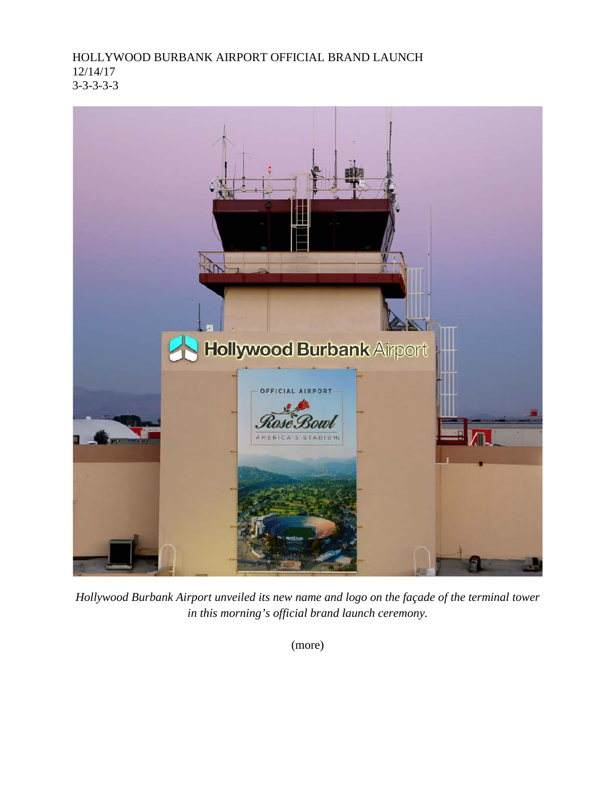HOLLYWOOD BURBANK AIRPORT OFFICIAL BRAND LAUNCH 12/14/17 3-3-3-3-3



*Hollywood Burbank Airport unveiled its new name and logo on the façade of the terminal tower in this morning's official brand launch ceremony.*

(more)